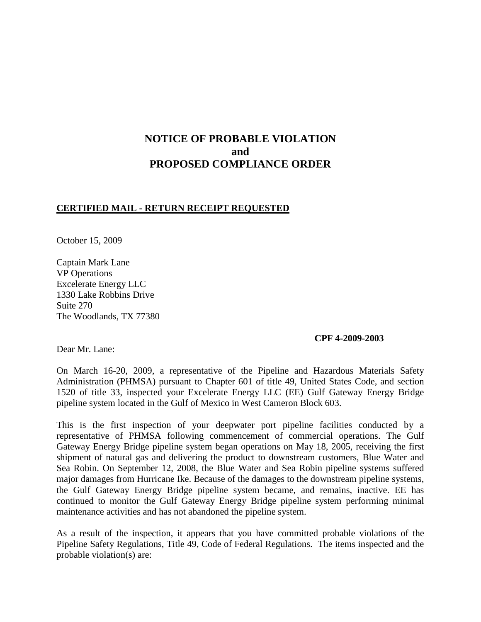# **NOTICE OF PROBABLE VIOLATION and PROPOSED COMPLIANCE ORDER**

### **CERTIFIED MAIL - RETURN RECEIPT REQUESTED**

October 15, 2009

Captain Mark Lane VP Operations Excelerate Energy LLC 1330 Lake Robbins Drive Suite 270 The Woodlands, TX 77380

#### **CPF 4-2009-2003**

Dear Mr. Lane:

On March 16-20, 2009, a representative of the Pipeline and Hazardous Materials Safety Administration (PHMSA) pursuant to Chapter 601 of title 49, United States Code, and section 1520 of title 33, inspected your Excelerate Energy LLC (EE) Gulf Gateway Energy Bridge pipeline system located in the Gulf of Mexico in West Cameron Block 603.

This is the first inspection of your deepwater port pipeline facilities conducted by a representative of PHMSA following commencement of commercial operations. The Gulf Gateway Energy Bridge pipeline system began operations on May 18, 2005, receiving the first shipment of natural gas and delivering the product to downstream customers, Blue Water and Sea Robin. On September 12, 2008, the Blue Water and Sea Robin pipeline systems suffered major damages from Hurricane Ike. Because of the damages to the downstream pipeline systems, the Gulf Gateway Energy Bridge pipeline system became, and remains, inactive. EE has continued to monitor the Gulf Gateway Energy Bridge pipeline system performing minimal maintenance activities and has not abandoned the pipeline system.

As a result of the inspection, it appears that you have committed probable violations of the Pipeline Safety Regulations, Title 49, Code of Federal Regulations. The items inspected and the probable violation(s) are: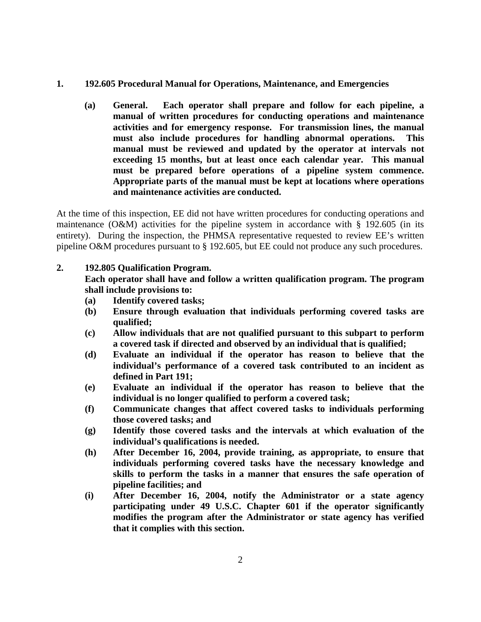- **1. 192.605 Procedural Manual for Operations, Maintenance, and Emergencies**
	- **(a) General. Each operator shall prepare and follow for each pipeline, a manual of written procedures for conducting operations and maintenance activities and for emergency response. For transmission lines, the manual must also include procedures for handling abnormal operations. This manual must be reviewed and updated by the operator at intervals not exceeding 15 months, but at least once each calendar year. This manual must be prepared before operations of a pipeline system commence. Appropriate parts of the manual must be kept at locations where operations and maintenance activities are conducted.**

At the time of this inspection, EE did not have written procedures for conducting operations and maintenance (O&M) activities for the pipeline system in accordance with § 192.605 (in its entirety). During the inspection, the PHMSA representative requested to review EE's written pipeline O&M procedures pursuant to § 192.605, but EE could not produce any such procedures.

## **2. 192.805 Qualification Program.**

**Each operator shall have and follow a written qualification program. The program shall include provisions to:**

- **(a) Identify covered tasks;**
- **(b) Ensure through evaluation that individuals performing covered tasks are qualified;**
- **(c) Allow individuals that are not qualified pursuant to this subpart to perform a covered task if directed and observed by an individual that is qualified;**
- **(d) Evaluate an individual if the operator has reason to believe that the individual's performance of a covered task contributed to an incident as defined in Part 191;**
- **(e) Evaluate an individual if the operator has reason to believe that the individual is no longer qualified to perform a covered task;**
- **(f) Communicate changes that affect covered tasks to individuals performing those covered tasks; and**
- **(g) Identify those covered tasks and the intervals at which evaluation of the individual's qualifications is needed.**
- **(h) After December 16, 2004, provide training, as appropriate, to ensure that individuals performing covered tasks have the necessary knowledge and skills to perform the tasks in a manner that ensures the safe operation of pipeline facilities; and**
- **(i) After December 16, 2004, notify the Administrator or a state agency participating under 49 U.S.C. Chapter 601 if the operator significantly modifies the program after the Administrator or state agency has verified that it complies with this section.**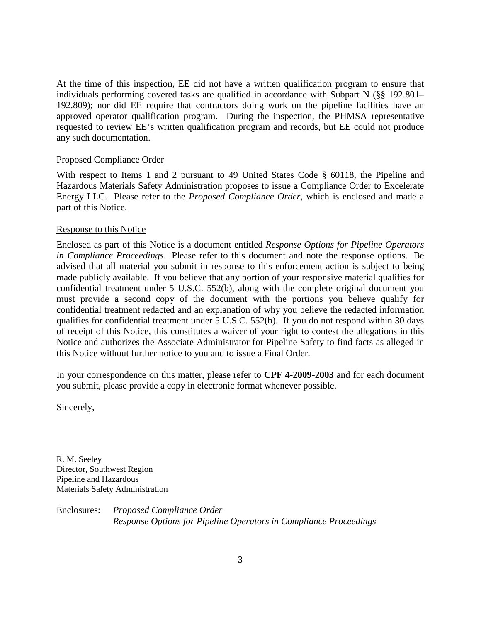At the time of this inspection, EE did not have a written qualification program to ensure that individuals performing covered tasks are qualified in accordance with Subpart N (§§ 192.801– 192.809); nor did EE require that contractors doing work on the pipeline facilities have an approved operator qualification program. During the inspection, the PHMSA representative requested to review EE's written qualification program and records, but EE could not produce any such documentation.

#### Proposed Compliance Order

With respect to Items 1 and 2 pursuant to 49 United States Code § 60118, the Pipeline and Hazardous Materials Safety Administration proposes to issue a Compliance Order to Excelerate Energy LLC. Please refer to the *Proposed Compliance Order*, which is enclosed and made a part of this Notice.

### Response to this Notice

Enclosed as part of this Notice is a document entitled *Response Options for Pipeline Operators in Compliance Proceedings*. Please refer to this document and note the response options. Be advised that all material you submit in response to this enforcement action is subject to being made publicly available. If you believe that any portion of your responsive material qualifies for confidential treatment under 5 U.S.C. 552(b), along with the complete original document you must provide a second copy of the document with the portions you believe qualify for confidential treatment redacted and an explanation of why you believe the redacted information qualifies for confidential treatment under 5 U.S.C. 552(b). If you do not respond within 30 days of receipt of this Notice, this constitutes a waiver of your right to contest the allegations in this Notice and authorizes the Associate Administrator for Pipeline Safety to find facts as alleged in this Notice without further notice to you and to issue a Final Order.

In your correspondence on this matter, please refer to **CPF 4-2009-2003** and for each document you submit, please provide a copy in electronic format whenever possible.

Sincerely,

R. M. Seeley Director, Southwest Region Pipeline and Hazardous Materials Safety Administration

Enclosures: *Proposed Compliance Order Response Options for Pipeline Operators in Compliance Proceedings*